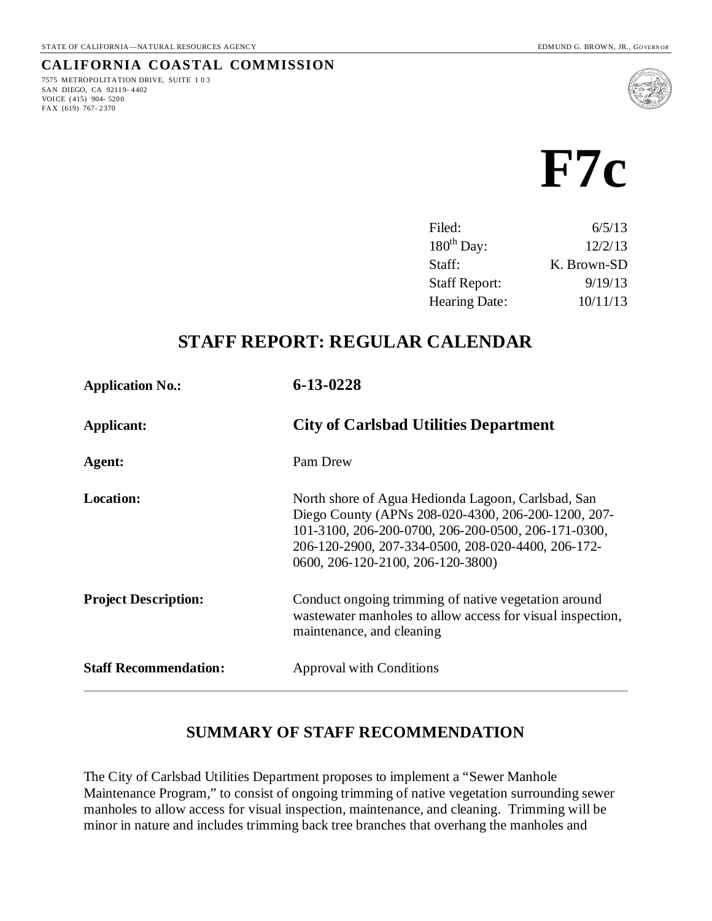7575 METROPOLITATION DRIVE, SUITE 103

SAN DIEGO, CA 92119- 4402 VOI CE (415) 904- 5200 FAX (619) 767- 2370

**CALIFORNIA COASTAL COMMISSION**



| Filed:               | 6/5/13      |
|----------------------|-------------|
| $180th$ Day:         | 12/2/13     |
| Staff:               | K. Brown-SD |
| <b>Staff Report:</b> | 9/19/13     |
| Hearing Date:        | 10/11/13    |
|                      |             |

## **STAFF REPORT: REGULAR CALENDAR**

| <b>Application No.:</b>      | 6-13-0228                                                                                                                                                                                                                                                   |
|------------------------------|-------------------------------------------------------------------------------------------------------------------------------------------------------------------------------------------------------------------------------------------------------------|
| <b>Applicant:</b>            | <b>City of Carlsbad Utilities Department</b>                                                                                                                                                                                                                |
| Agent:                       | Pam Drew                                                                                                                                                                                                                                                    |
| <b>Location:</b>             | North shore of Agua Hedionda Lagoon, Carlsbad, San<br>Diego County (APNs 208-020-4300, 206-200-1200, 207-<br>101-3100, 206-200-0700, 206-200-0500, 206-171-0300,<br>206-120-2900, 207-334-0500, 208-020-4400, 206-172-<br>0600, 206-120-2100, 206-120-3800) |
| <b>Project Description:</b>  | Conduct ongoing trimming of native vegetation around<br>was tewater manholes to allow access for visual inspection,<br>maintenance, and cleaning                                                                                                            |
| <b>Staff Recommendation:</b> | <b>Approval with Conditions</b>                                                                                                                                                                                                                             |

## **SUMMARY OF STAFF RECOMMENDATION**

The City of Carlsbad Utilities Department proposes to implement a "Sewer Manhole Maintenance Program," to consist of ongoing trimming of native vegetation surrounding sewer manholes to allow access for visual inspection, maintenance, and cleaning. Trimming will be minor in nature and includes trimming back tree branches that overhang the manholes and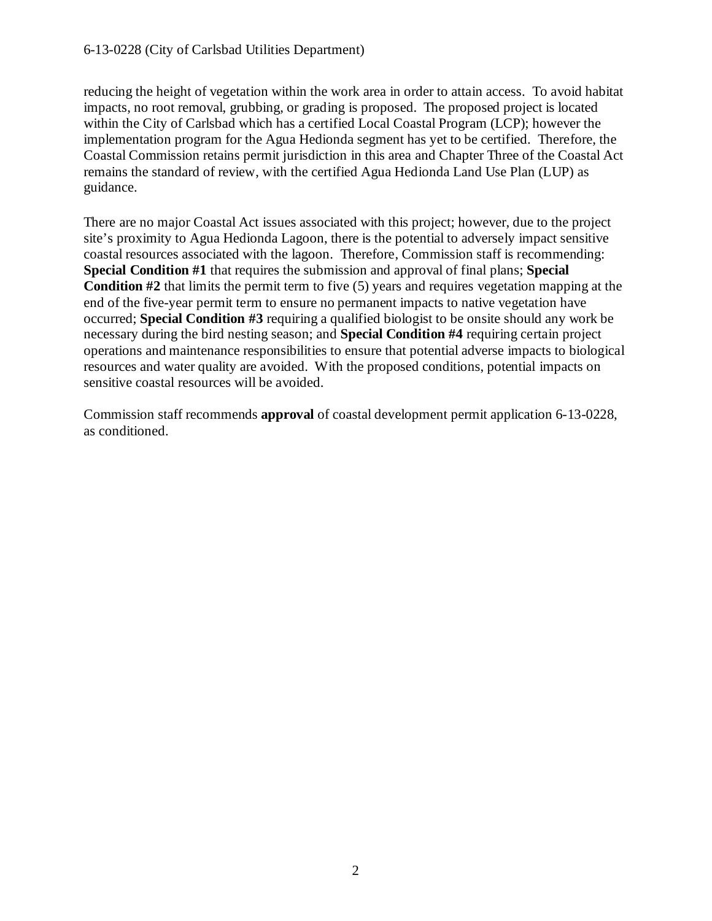reducing the height of vegetation within the work area in order to attain access. To avoid habitat impacts, no root removal, grubbing, or grading is proposed. The proposed project is located within the City of Carlsbad which has a certified Local Coastal Program (LCP); however the implementation program for the Agua Hedionda segment has yet to be certified. Therefore, the Coastal Commission retains permit jurisdiction in this area and Chapter Three of the Coastal Act remains the standard of review, with the certified Agua Hedionda Land Use Plan (LUP) as guidance.

There are no major Coastal Act issues associated with this project; however, due to the project site's proximity to Agua Hedionda Lagoon, there is the potential to adversely impact sensitive coastal resources associated with the lagoon. Therefore, Commission staff is recommending: **Special Condition #1** that requires the submission and approval of final plans; **Special Condition #2** that limits the permit term to five (5) years and requires vegetation mapping at the end of the five-year permit term to ensure no permanent impacts to native vegetation have occurred; **Special Condition #3** requiring a qualified biologist to be onsite should any work be necessary during the bird nesting season; and **Special Condition #4** requiring certain project operations and maintenance responsibilities to ensure that potential adverse impacts to biological resources and water quality are avoided. With the proposed conditions, potential impacts on sensitive coastal resources will be avoided.

Commission staff recommends **approval** of coastal development permit application 6-13-0228, as conditioned.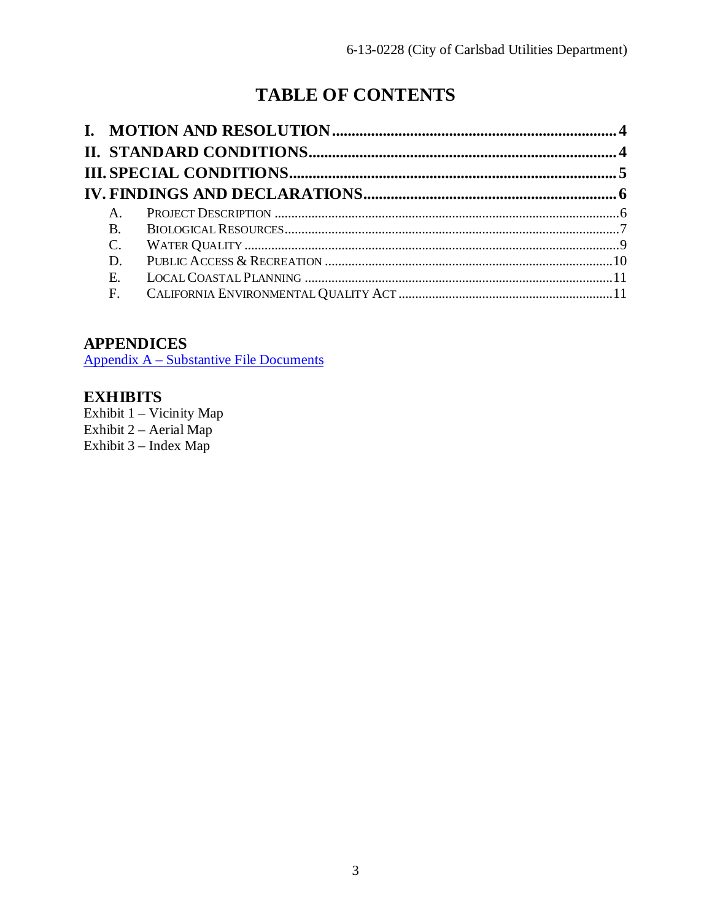# **TABLE OF CONTENTS**

| Α.       |  |
|----------|--|
| $\bf{B}$ |  |
| C.       |  |
| D.       |  |
| E.       |  |
| F.       |  |

## **APPENDICES**

Appendix A – [Substantive File Documents](#page-12-0)

## **EXHIBITS**

Exhibit 1 – Vicinity Map Exhibit 2 – Aerial Map Exhibit 3 – Index Map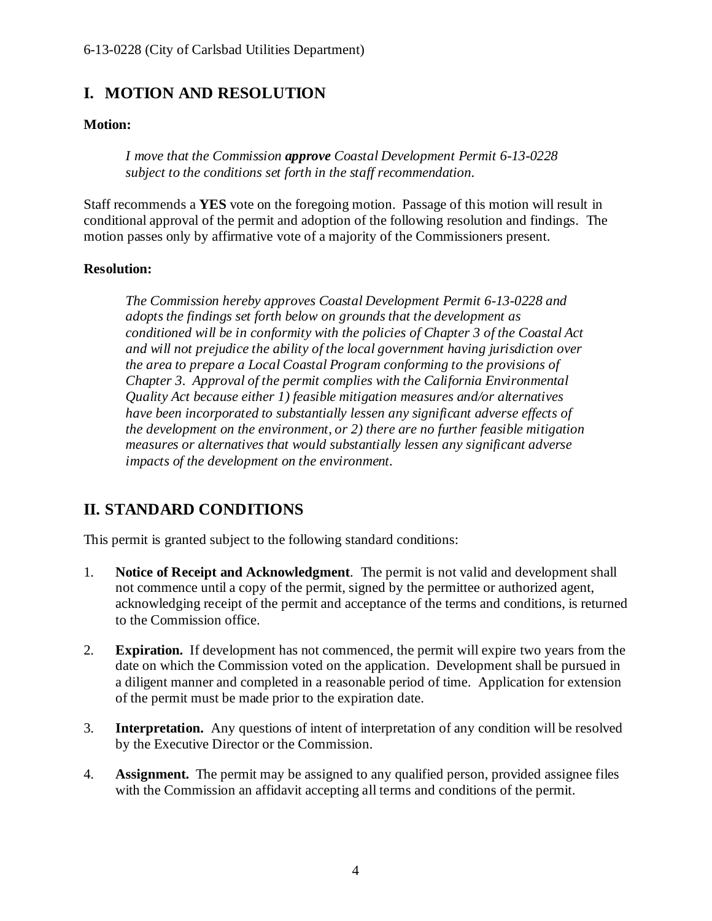## <span id="page-3-0"></span>**I. MOTION AND RESOLUTION**

#### **Motion:**

*I move that the Commission approve Coastal Development Permit 6-13-0228 subject to the conditions set forth in the staff recommendation.*

Staff recommends a **YES** vote on the foregoing motion. Passage of this motion will result in conditional approval of the permit and adoption of the following resolution and findings. The motion passes only by affirmative vote of a majority of the Commissioners present.

#### **Resolution:**

*The Commission hereby approves Coastal Development Permit 6-13-0228 and adopts the findings set forth below on grounds that the development as conditioned will be in conformity with the policies of Chapter 3 of the Coastal Act and will not prejudice the ability of the local government having jurisdiction over the area to prepare a Local Coastal Program conforming to the provisions of Chapter 3. Approval of the permit complies with the California Environmental Quality Act because either 1) feasible mitigation measures and/or alternatives have been incorporated to substantially lessen any significant adverse effects of the development on the environment, or 2) there are no further feasible mitigation measures or alternatives that would substantially lessen any significant adverse impacts of the development on the environment.*

## <span id="page-3-1"></span>**II. STANDARD CONDITIONS**

This permit is granted subject to the following standard conditions:

- 1. **Notice of Receipt and Acknowledgment**. The permit is not valid and development shall not commence until a copy of the permit, signed by the permittee or authorized agent, acknowledging receipt of the permit and acceptance of the terms and conditions, is returned to the Commission office.
- 2. **Expiration.** If development has not commenced, the permit will expire two years from the date on which the Commission voted on the application. Development shall be pursued in a diligent manner and completed in a reasonable period of time. Application for extension of the permit must be made prior to the expiration date.
- 3. **Interpretation.** Any questions of intent of interpretation of any condition will be resolved by the Executive Director or the Commission.
- 4. **Assignment.** The permit may be assigned to any qualified person, provided assignee files with the Commission an affidavit accepting all terms and conditions of the permit.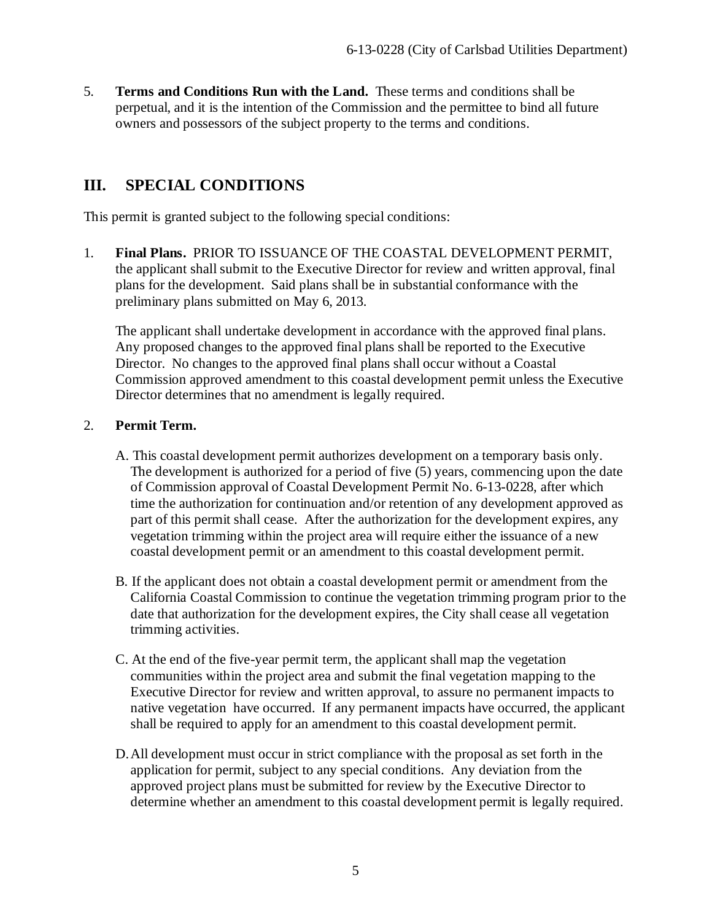5. **Terms and Conditions Run with the Land.** These terms and conditions shall be perpetual, and it is the intention of the Commission and the permittee to bind all future owners and possessors of the subject property to the terms and conditions.

## <span id="page-4-0"></span>**III. SPECIAL CONDITIONS**

This permit is granted subject to the following special conditions:

1. **Final Plans.** PRIOR TO ISSUANCE OF THE COASTAL DEVELOPMENT PERMIT, the applicant shall submit to the Executive Director for review and written approval, final plans for the development. Said plans shall be in substantial conformance with the preliminary plans submitted on May 6, 2013.

The applicant shall undertake development in accordance with the approved final plans. Any proposed changes to the approved final plans shall be reported to the Executive Director. No changes to the approved final plans shall occur without a Coastal Commission approved amendment to this coastal development permit unless the Executive Director determines that no amendment is legally required.

### 2. **Permit Term.**

- A. This coastal development permit authorizes development on a temporary basis only. The development is authorized for a period of five (5) years, commencing upon the date of Commission approval of Coastal Development Permit No. 6-13-0228, after which time the authorization for continuation and/or retention of any development approved as part of this permit shall cease. After the authorization for the development expires, any vegetation trimming within the project area will require either the issuance of a new coastal development permit or an amendment to this coastal development permit.
- B. If the applicant does not obtain a coastal development permit or amendment from the California Coastal Commission to continue the vegetation trimming program prior to the date that authorization for the development expires, the City shall cease all vegetation trimming activities.
- C. At the end of the five-year permit term, the applicant shall map the vegetation communities within the project area and submit the final vegetation mapping to the Executive Director for review and written approval, to assure no permanent impacts to native vegetation have occurred. If any permanent impacts have occurred, the applicant shall be required to apply for an amendment to this coastal development permit.
- D.All development must occur in strict compliance with the proposal as set forth in the application for permit, subject to any special conditions. Any deviation from the approved project plans must be submitted for review by the Executive Director to determine whether an amendment to this coastal development permit is legally required.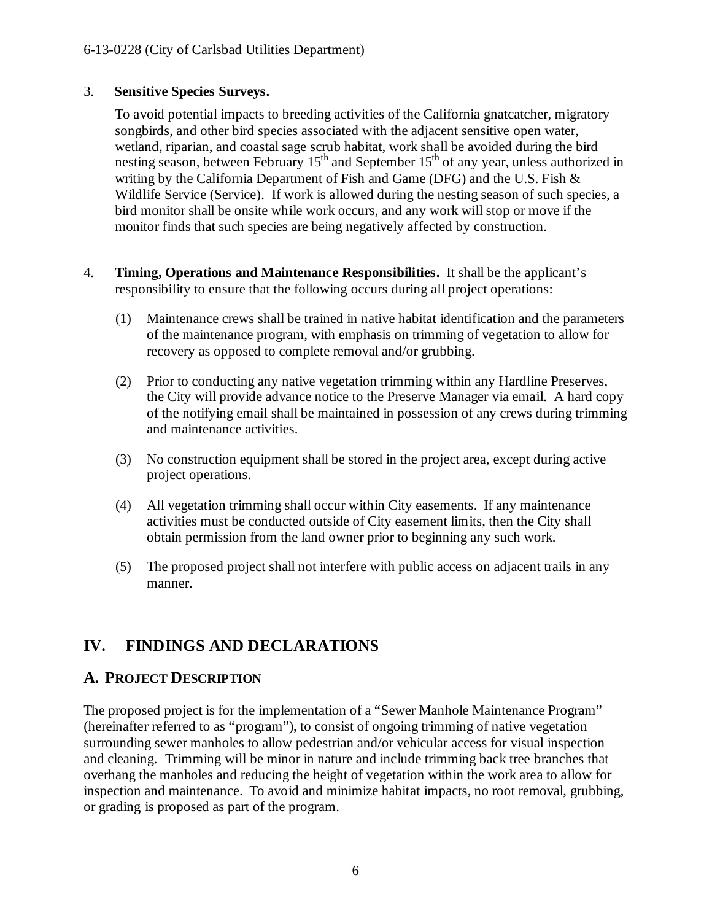#### 3. **Sensitive Species Surveys.**

 To avoid potential impacts to breeding activities of the California gnatcatcher, migratory songbirds, and other bird species associated with the adjacent sensitive open water, wetland, riparian, and coastal sage scrub habitat, work shall be avoided during the bird nesting season, between February  $15<sup>th</sup>$  and September  $15<sup>th</sup>$  of any year, unless authorized in writing by the California Department of Fish and Game (DFG) and the U.S. Fish & Wildlife Service (Service). If work is allowed during the nesting season of such species, a bird monitor shall be onsite while work occurs, and any work will stop or move if the monitor finds that such species are being negatively affected by construction.

- 4. **Timing, Operations and Maintenance Responsibilities.** It shall be the applicant's responsibility to ensure that the following occurs during all project operations:
	- (1) Maintenance crews shall be trained in native habitat identification and the parameters of the maintenance program, with emphasis on trimming of vegetation to allow for recovery as opposed to complete removal and/or grubbing.
	- (2) Prior to conducting any native vegetation trimming within any Hardline Preserves, the City will provide advance notice to the Preserve Manager via email. A hard copy of the notifying email shall be maintained in possession of any crews during trimming and maintenance activities.
	- (3) No construction equipment shall be stored in the project area, except during active project operations.
	- (4) All vegetation trimming shall occur within City easements. If any maintenance activities must be conducted outside of City easement limits, then the City shall obtain permission from the land owner prior to beginning any such work.
	- (5) The proposed project shall not interfere with public access on adjacent trails in any manner.

## <span id="page-5-0"></span>**IV. FINDINGS AND DECLARATIONS**

## <span id="page-5-1"></span>**A. PROJECT DESCRIPTION**

The proposed project is for the implementation of a "Sewer Manhole Maintenance Program" (hereinafter referred to as "program"), to consist of ongoing trimming of native vegetation surrounding sewer manholes to allow pedestrian and/or vehicular access for visual inspection and cleaning. Trimming will be minor in nature and include trimming back tree branches that overhang the manholes and reducing the height of vegetation within the work area to allow for inspection and maintenance. To avoid and minimize habitat impacts, no root removal, grubbing, or grading is proposed as part of the program.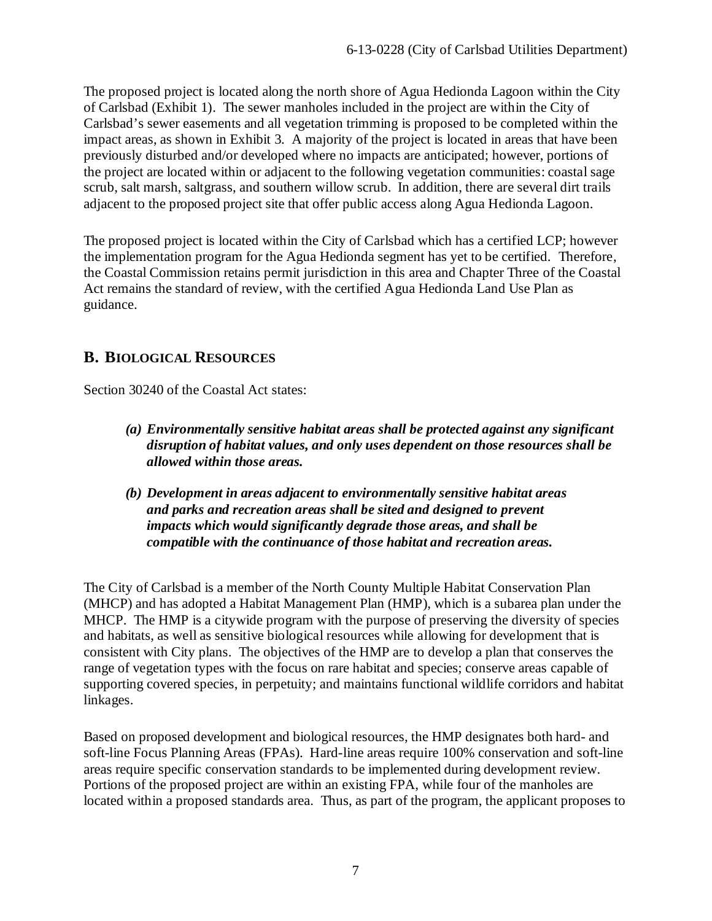The proposed project is located along the north shore of Agua Hedionda Lagoon within the City of Carlsbad (Exhibit 1). The sewer manholes included in the project are within the City of Carlsbad's sewer easements and all vegetation trimming is proposed to be completed within the impact areas, as shown in Exhibit 3. A majority of the project is located in areas that have been previously disturbed and/or developed where no impacts are anticipated; however, portions of the project are located within or adjacent to the following vegetation communities: coastal sage scrub, salt marsh, saltgrass, and southern willow scrub. In addition, there are several dirt trails adjacent to the proposed project site that offer public access along Agua Hedionda Lagoon.

The proposed project is located within the City of Carlsbad which has a certified LCP; however the implementation program for the Agua Hedionda segment has yet to be certified. Therefore, the Coastal Commission retains permit jurisdiction in this area and Chapter Three of the Coastal Act remains the standard of review, with the certified Agua Hedionda Land Use Plan as guidance.

## <span id="page-6-0"></span>**B. BIOLOGICAL RESOURCES**

Section 30240 of the Coastal Act states:

- *(a) Environmentally sensitive habitat areas shall be protected against any significant disruption of habitat values, and only uses dependent on those resources shall be allowed within those areas.*
- *(b) Development in areas adjacent to environmentally sensitive habitat areas and parks and recreation areas shall be sited and designed to prevent impacts which would significantly degrade those areas, and shall be compatible with the continuance of those habitat and recreation areas.*

The City of Carlsbad is a member of the North County Multiple Habitat Conservation Plan (MHCP) and has adopted a Habitat Management Plan (HMP), which is a subarea plan under the MHCP. The HMP is a citywide program with the purpose of preserving the diversity of species and habitats, as well as sensitive biological resources while allowing for development that is consistent with City plans. The objectives of the HMP are to develop a plan that conserves the range of vegetation types with the focus on rare habitat and species; conserve areas capable of supporting covered species, in perpetuity; and maintains functional wildlife corridors and habitat linkages.

Based on proposed development and biological resources, the HMP designates both hard- and soft-line Focus Planning Areas (FPAs). Hard-line areas require 100% conservation and soft-line areas require specific conservation standards to be implemented during development review. Portions of the proposed project are within an existing FPA, while four of the manholes are located within a proposed standards area. Thus, as part of the program, the applicant proposes to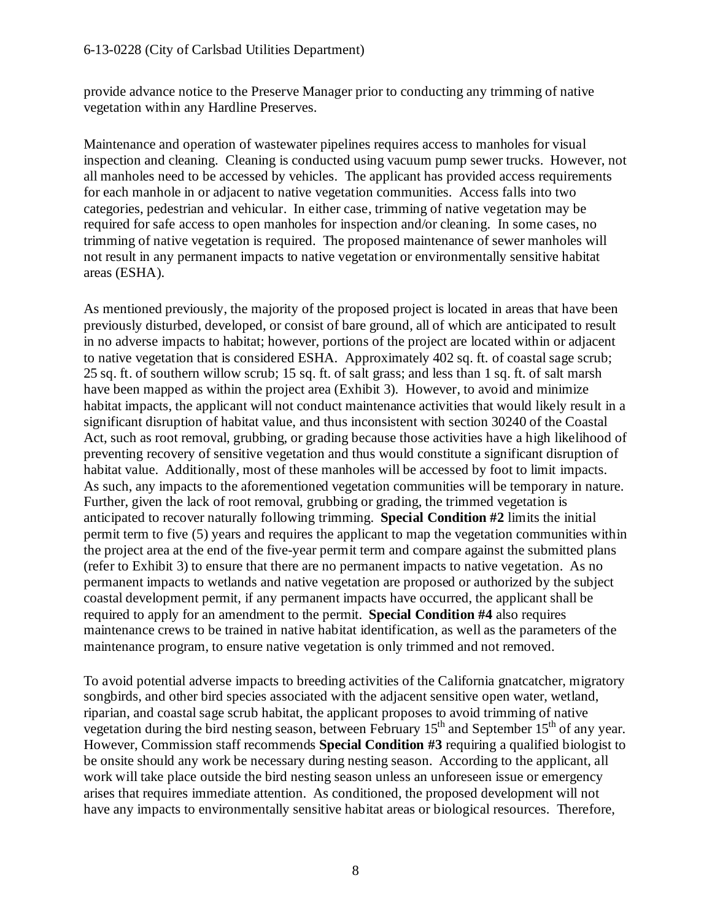provide advance notice to the Preserve Manager prior to conducting any trimming of native vegetation within any Hardline Preserves.

Maintenance and operation of wastewater pipelines requires access to manholes for visual inspection and cleaning. Cleaning is conducted using vacuum pump sewer trucks. However, not all manholes need to be accessed by vehicles. The applicant has provided access requirements for each manhole in or adjacent to native vegetation communities. Access falls into two categories, pedestrian and vehicular. In either case, trimming of native vegetation may be required for safe access to open manholes for inspection and/or cleaning. In some cases, no trimming of native vegetation is required. The proposed maintenance of sewer manholes will not result in any permanent impacts to native vegetation or environmentally sensitive habitat areas (ESHA).

As mentioned previously, the majority of the proposed project is located in areas that have been previously disturbed, developed, or consist of bare ground, all of which are anticipated to result in no adverse impacts to habitat; however, portions of the project are located within or adjacent to native vegetation that is considered ESHA. Approximately 402 sq. ft. of coastal sage scrub; 25 sq. ft. of southern willow scrub; 15 sq. ft. of salt grass; and less than 1 sq. ft. of salt marsh have been mapped as within the project area (Exhibit 3). However, to avoid and minimize habitat impacts, the applicant will not conduct maintenance activities that would likely result in a significant disruption of habitat value, and thus inconsistent with section 30240 of the Coastal Act, such as root removal, grubbing, or grading because those activities have a high likelihood of preventing recovery of sensitive vegetation and thus would constitute a significant disruption of habitat value. Additionally, most of these manholes will be accessed by foot to limit impacts. As such, any impacts to the aforementioned vegetation communities will be temporary in nature. Further, given the lack of root removal, grubbing or grading, the trimmed vegetation is anticipated to recover naturally following trimming. **Special Condition #2** limits the initial permit term to five (5) years and requires the applicant to map the vegetation communities within the project area at the end of the five-year permit term and compare against the submitted plans (refer to Exhibit 3) to ensure that there are no permanent impacts to native vegetation. As no permanent impacts to wetlands and native vegetation are proposed or authorized by the subject coastal development permit, if any permanent impacts have occurred, the applicant shall be required to apply for an amendment to the permit. **Special Condition #4** also requires maintenance crews to be trained in native habitat identification, as well as the parameters of the maintenance program, to ensure native vegetation is only trimmed and not removed.

To avoid potential adverse impacts to breeding activities of the California gnatcatcher, migratory songbirds, and other bird species associated with the adjacent sensitive open water, wetland, riparian, and coastal sage scrub habitat, the applicant proposes to avoid trimming of native vegetation during the bird nesting season, between February  $15<sup>th</sup>$  and September  $15<sup>th</sup>$  of any year. However, Commission staff recommends **Special Condition #3** requiring a qualified biologist to be onsite should any work be necessary during nesting season. According to the applicant, all work will take place outside the bird nesting season unless an unforeseen issue or emergency arises that requires immediate attention. As conditioned, the proposed development will not have any impacts to environmentally sensitive habitat areas or biological resources. Therefore,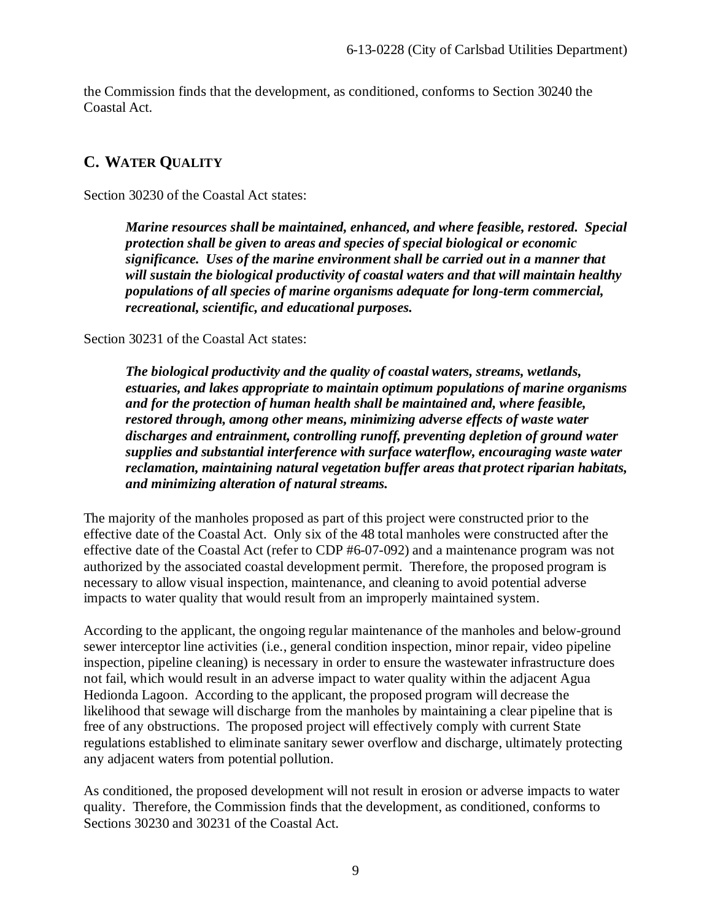the Commission finds that the development, as conditioned, conforms to Section 30240 the Coastal Act.

## <span id="page-8-0"></span>**C. WATER QUALITY**

Section 30230 of the Coastal Act states:

*Marine resources shall be maintained, enhanced, and where feasible, restored. Special protection shall be given to areas and species of special biological or economic significance. Uses of the marine environment shall be carried out in a manner that will sustain the biological productivity of coastal waters and that will maintain healthy populations of all species of marine organisms adequate for long-term commercial, recreational, scientific, and educational purposes.*

Section 30231 of the Coastal Act states:

*The biological productivity and the quality of coastal waters, streams, wetlands, estuaries, and lakes appropriate to maintain optimum populations of marine organisms and for the protection of human health shall be maintained and, where feasible, restored through, among other means, minimizing adverse effects of waste water discharges and entrainment, controlling runoff, preventing depletion of ground water supplies and substantial interference with surface waterflow, encouraging waste water reclamation, maintaining natural vegetation buffer areas that protect riparian habitats, and minimizing alteration of natural streams.*

The majority of the manholes proposed as part of this project were constructed prior to the effective date of the Coastal Act. Only six of the 48 total manholes were constructed after the effective date of the Coastal Act (refer to CDP #6-07-092) and a maintenance program was not authorized by the associated coastal development permit. Therefore, the proposed program is necessary to allow visual inspection, maintenance, and cleaning to avoid potential adverse impacts to water quality that would result from an improperly maintained system.

According to the applicant, the ongoing regular maintenance of the manholes and below-ground sewer interceptor line activities (i.e., general condition inspection, minor repair, video pipeline inspection, pipeline cleaning) is necessary in order to ensure the wastewater infrastructure does not fail, which would result in an adverse impact to water quality within the adjacent Agua Hedionda Lagoon. According to the applicant, the proposed program will decrease the likelihood that sewage will discharge from the manholes by maintaining a clear pipeline that is free of any obstructions. The proposed project will effectively comply with current State regulations established to eliminate sanitary sewer overflow and discharge, ultimately protecting any adjacent waters from potential pollution.

As conditioned, the proposed development will not result in erosion or adverse impacts to water quality. Therefore, the Commission finds that the development, as conditioned, conforms to Sections 30230 and 30231 of the Coastal Act.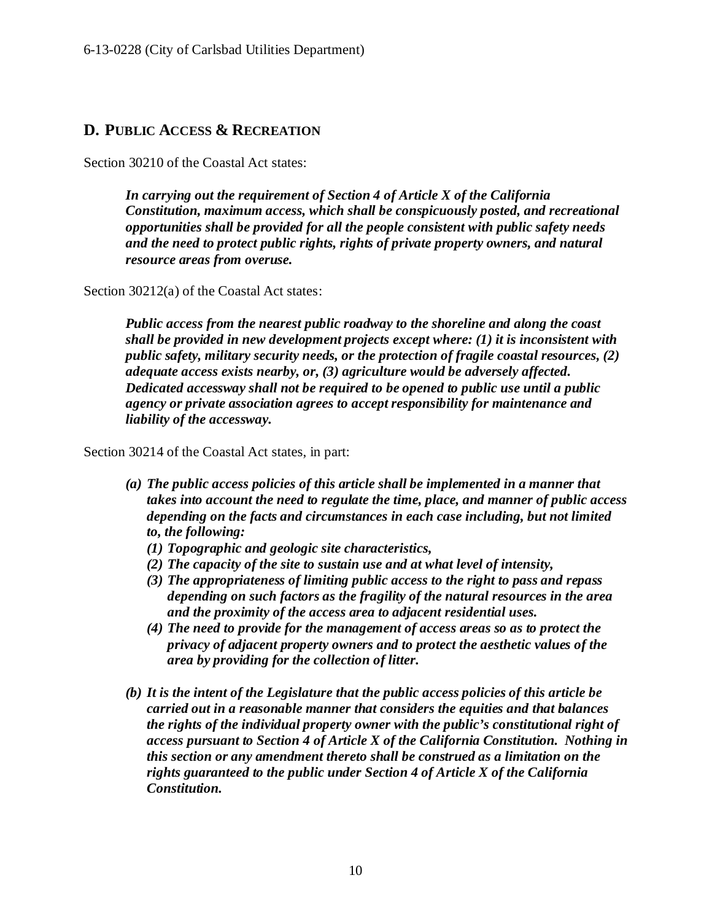## <span id="page-9-0"></span>**D. PUBLIC ACCESS & RECREATION**

Section 30210 of the Coastal Act states:

*In carrying out the requirement of Section 4 of Article X of the California Constitution, maximum access, which shall be conspicuously posted, and recreational opportunities shall be provided for all the people consistent with public safety needs and the need to protect public rights, rights of private property owners, and natural resource areas from overuse.* 

Section 30212(a) of the Coastal Act states:

*Public access from the nearest public roadway to the shoreline and along the coast shall be provided in new development projects except where: (1) it is inconsistent with public safety, military security needs, or the protection of fragile coastal resources, (2) adequate access exists nearby, or, (3) agriculture would be adversely affected. Dedicated accessway shall not be required to be opened to public use until a public agency or private association agrees to accept responsibility for maintenance and liability of the accessway.*

Section 30214 of the Coastal Act states, in part:

- *(a) The public access policies of this article shall be implemented in a manner that takes into account the need to regulate the time, place, and manner of public access depending on the facts and circumstances in each case including, but not limited to, the following:*
	- *(1) Topographic and geologic site characteristics,*
	- *(2) The capacity of the site to sustain use and at what level of intensity,*
	- *(3) The appropriateness of limiting public access to the right to pass and repass depending on such factors as the fragility of the natural resources in the area and the proximity of the access area to adjacent residential uses.*
	- *(4) The need to provide for the management of access areas so as to protect the privacy of adjacent property owners and to protect the aesthetic values of the area by providing for the collection of litter.*
- *(b) It is the intent of the Legislature that the public access policies of this article be carried out in a reasonable manner that considers the equities and that balances the rights of the individual property owner with the public's constitutional right of access pursuant to Section 4 of Article X of the California Constitution. Nothing in this section or any amendment thereto shall be construed as a limitation on the rights guaranteed to the public under Section 4 of Article X of the California Constitution.*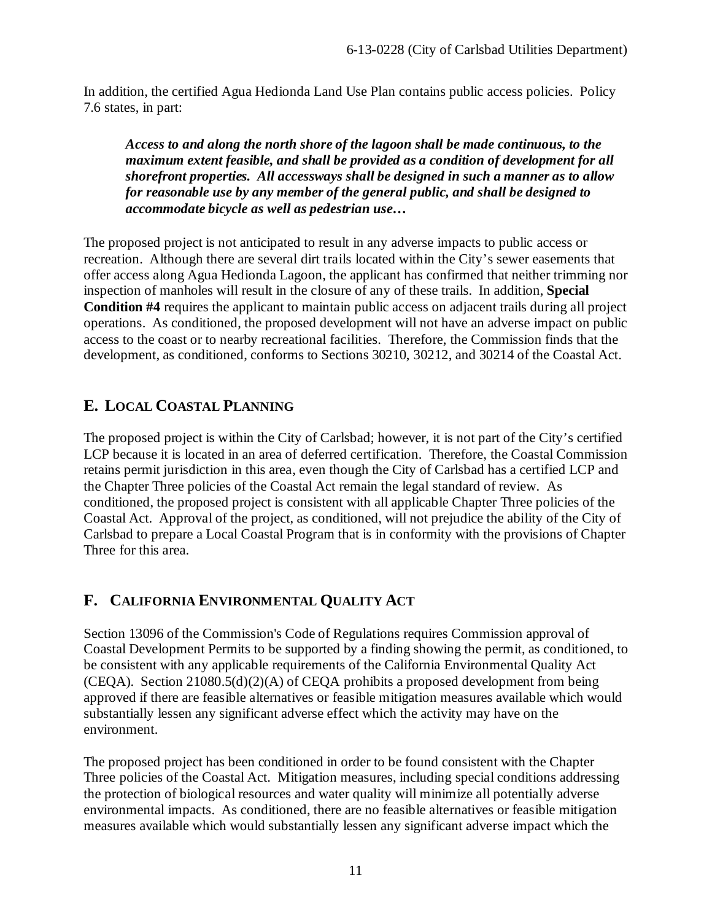In addition, the certified Agua Hedionda Land Use Plan contains public access policies. Policy 7.6 states, in part:

*Access to and along the north shore of the lagoon shall be made continuous, to the maximum extent feasible, and shall be provided as a condition of development for all shorefront properties. All accessways shall be designed in such a manner as to allow for reasonable use by any member of the general public, and shall be designed to accommodate bicycle as well as pedestrian use…*

The proposed project is not anticipated to result in any adverse impacts to public access or recreation. Although there are several dirt trails located within the City's sewer easements that offer access along Agua Hedionda Lagoon, the applicant has confirmed that neither trimming nor inspection of manholes will result in the closure of any of these trails. In addition, **Special Condition #4** requires the applicant to maintain public access on adjacent trails during all project operations. As conditioned, the proposed development will not have an adverse impact on public access to the coast or to nearby recreational facilities. Therefore, the Commission finds that the development, as conditioned, conforms to Sections 30210, 30212, and 30214 of the Coastal Act.

## <span id="page-10-0"></span>**E. LOCAL COASTAL PLANNING**

The proposed project is within the City of Carlsbad; however, it is not part of the City's certified LCP because it is located in an area of deferred certification. Therefore, the Coastal Commission retains permit jurisdiction in this area, even though the City of Carlsbad has a certified LCP and the Chapter Three policies of the Coastal Act remain the legal standard of review. As conditioned, the proposed project is consistent with all applicable Chapter Three policies of the Coastal Act. Approval of the project, as conditioned, will not prejudice the ability of the City of Carlsbad to prepare a Local Coastal Program that is in conformity with the provisions of Chapter Three for this area.

## <span id="page-10-1"></span>**F. CALIFORNIA ENVIRONMENTAL QUALITY ACT**

Section 13096 of the Commission's Code of Regulations requires Commission approval of Coastal Development Permits to be supported by a finding showing the permit, as conditioned, to be consistent with any applicable requirements of the California Environmental Quality Act (CEQA). Section 21080.5(d)(2)(A) of CEQA prohibits a proposed development from being approved if there are feasible alternatives or feasible mitigation measures available which would substantially lessen any significant adverse effect which the activity may have on the environment.

The proposed project has been conditioned in order to be found consistent with the Chapter Three policies of the Coastal Act. Mitigation measures, including special conditions addressing the protection of biological resources and water quality will minimize all potentially adverse environmental impacts. As conditioned, there are no feasible alternatives or feasible mitigation measures available which would substantially lessen any significant adverse impact which the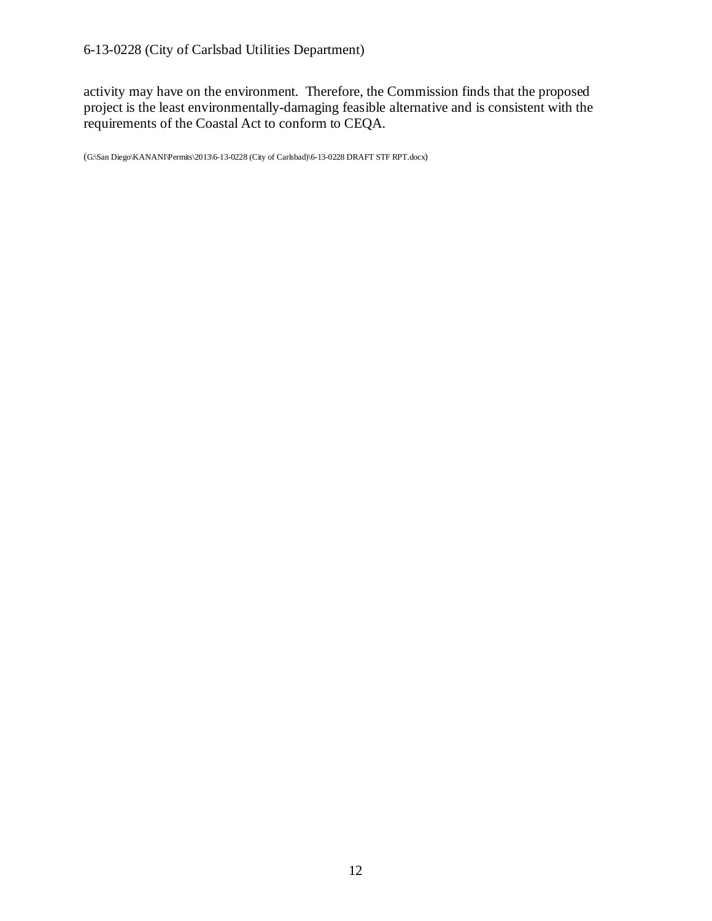activity may have on the environment. Therefore, the Commission finds that the proposed project is the least environmentally-damaging feasible alternative and is consistent with the requirements of the Coastal Act to conform to CEQA.

(G:\San Diego\KANANI\Permits\2013\6-13-0228 (City of Carlsbad)\6-13-0228 DRAFT STF RPT.docx)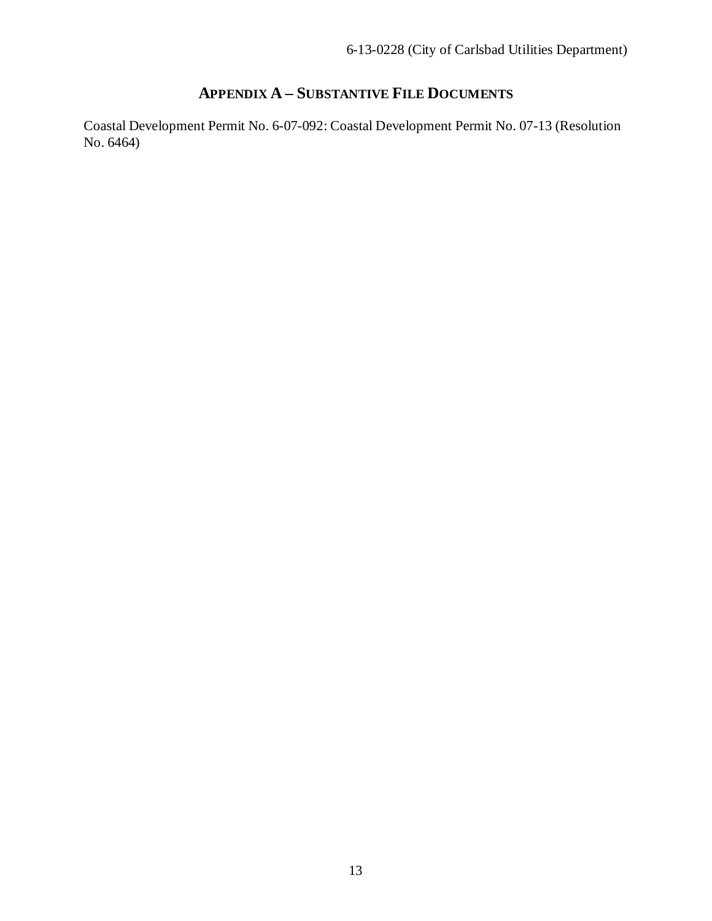## **APPENDIX A – SUBSTANTIVE FILE DOCUMENTS**

<span id="page-12-0"></span>Coastal Development Permit No. 6-07-092: Coastal Development Permit No. 07-13 (Resolution No. 6464)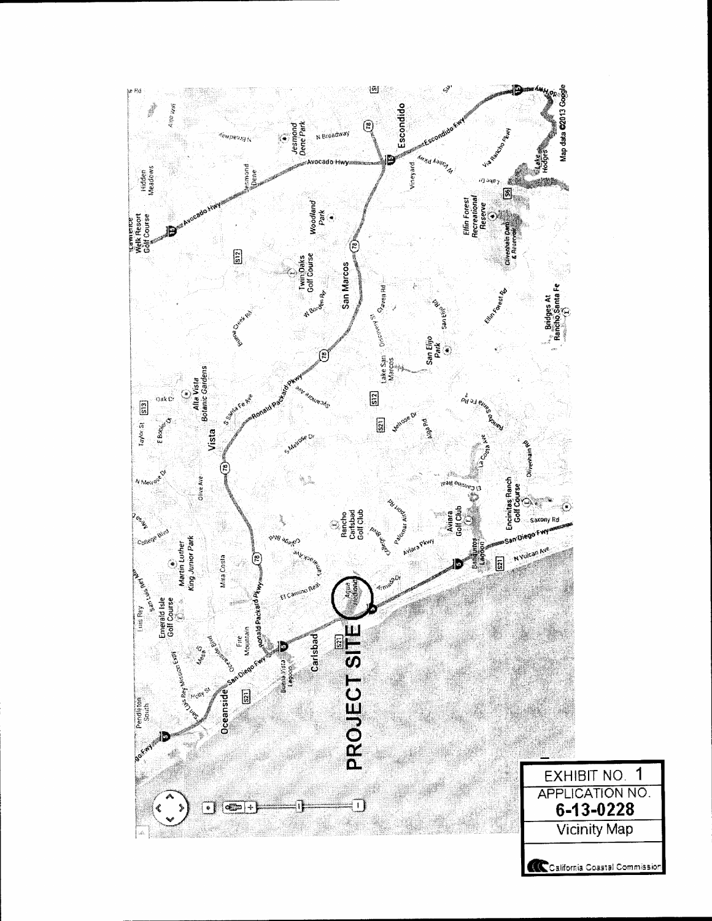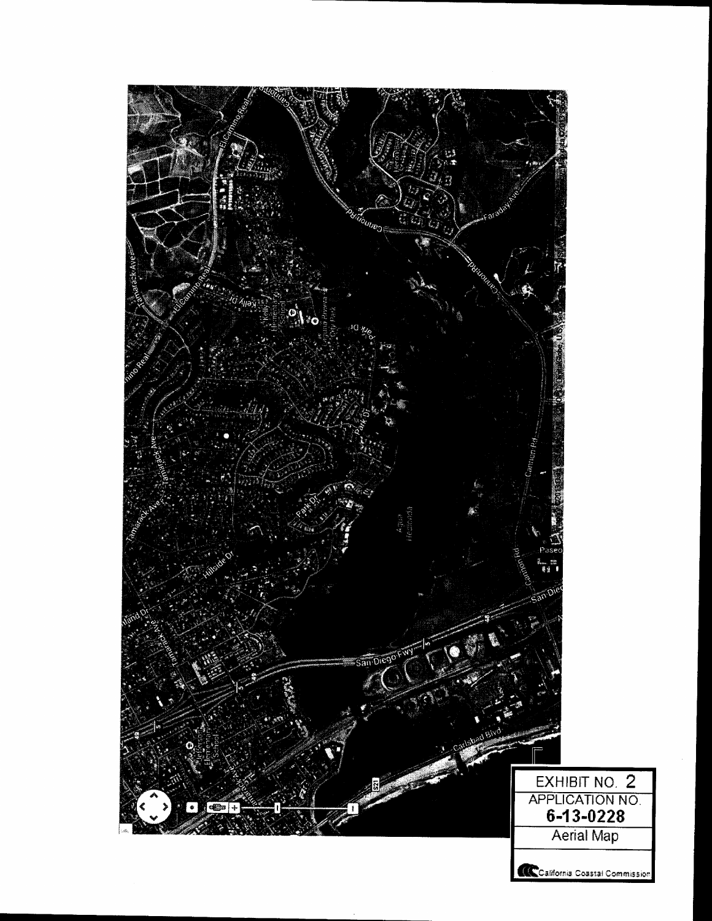